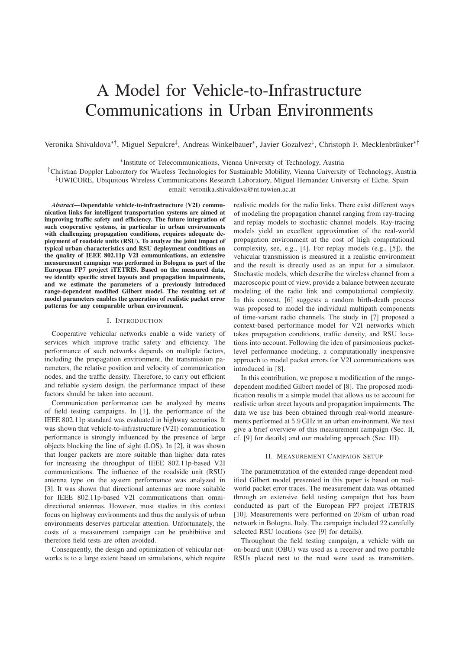# A Model for Vehicle-to-Infrastructure Communications in Urban Environments

Veronika Shivaldova<sup>∗†</sup>, Miguel Sepulcre<sup>‡</sup>, Andreas Winkelbauer<sup>∗</sup>, Javier Gozalvez<sup>‡</sup>, Christoph F. Mecklenbräuker<sup>∗†</sup>

<sup>∗</sup>Institute of Telecommunications, Vienna University of Technology, Austria

†Christian Doppler Laboratory for Wireless Technologies for Sustainable Mobility, Vienna University of Technology, Austria ‡UWICORE, Ubiquitous Wireless Communications Research Laboratory, Miguel Hernandez University of Elche, Spain

email: veronika.shivaldova@nt.tuwien.ac.at

*Abstract*—Dependable vehicle-to-infrastructure (V2I) communication links for intelligent transportation systems are aimed at improving traffic safety and efficiency. The future integration of such cooperative systems, in particular in urban environments with challenging propagation conditions, requires adequate deployment of roadside units (RSU). To analyze the joint impact of typical urban characteristics and RSU deployment conditions on the quality of IEEE 802.11p V2I communications, an extensive measurement campaign was performed in Bologna as part of the European FP7 project iTETRIS. Based on the measured data, we identify specific street layouts and propagation impairments, and we estimate the parameters of a previously introduced range-dependent modified Gilbert model. The resulting set of model parameters enables the generation of realistic packet error patterns for any comparable urban environment.

## I. INTRODUCTION

Cooperative vehicular networks enable a wide variety of services which improve traffic safety and efficiency. The performance of such networks depends on multiple factors, including the propagation environment, the transmission parameters, the relative position and velocity of communication nodes, and the traffic density. Therefore, to carry out efficient and reliable system design, the performance impact of these factors should be taken into account.

Communication performance can be analyzed by means of field testing campaigns. In [1], the performance of the IEEE 802.11p standard was evaluated in highway scenarios. It was shown that vehicle-to-infrastructure (V2I) communication performance is strongly influenced by the presence of large objects blocking the line of sight (LOS). In [2], it was shown that longer packets are more suitable than higher data rates for increasing the throughput of IEEE 802.11p-based V2I communications. The influence of the roadside unit (RSU) antenna type on the system performance was analyzed in [3]. It was shown that directional antennas are more suitable for IEEE 802.11p-based V2I communications than omnidirectional antennas. However, most studies in this context focus on highway environments and thus the analysis of urban environments deserves particular attention. Unfortunately, the costs of a measurement campaign can be prohibitive and therefore field tests are often avoided.

Consequently, the design and optimization of vehicular networks is to a large extent based on simulations, which require realistic models for the radio links. There exist different ways of modeling the propagation channel ranging from ray-tracing and replay models to stochastic channel models. Ray-tracing models yield an excellent approximation of the real-world propagation environment at the cost of high computational complexity, see, e.g., [4]. For replay models (e.g., [5]), the vehicular transmission is measured in a realistic environment and the result is directly used as an input for a simulator. Stochastic models, which describe the wireless channel from a macroscopic point of view, provide a balance between accurate modeling of the radio link and computational complexity. In this context, [6] suggests a random birth-death process was proposed to model the individual multipath components of time-variant radio channels. The study in [7] proposed a context-based performance model for V2I networks which takes propagation conditions, traffic density, and RSU locations into account. Following the idea of parsimonious packetlevel performance modeling, a computationally inexpensive approach to model packet errors for V2I communications was introduced in [8].

In this contribution, we propose a modification of the rangedependent modified Gilbert model of [8]. The proposed modification results in a simple model that allows us to account for realistic urban street layouts and propagation impairments. The data we use has been obtained through real-world measurements performed at 5.9 GHz in an urban environment. We next give a brief overview of this measurement campaign (Sec. II, cf. [9] for details) and our modeling approach (Sec. III).

#### II. MEASUREMENT CAMPAIGN SETUP

The parametrization of the extended range-dependent modified Gilbert model presented in this paper is based on realworld packet error traces. The measurement data was obtained through an extensive field testing campaign that has been conducted as part of the European FP7 project iTETRIS [10]. Measurements were performed on 20 km of urban road network in Bologna, Italy. The campaign included 22 carefully selected RSU locations (see [9] for details).

Throughout the field testing campaign, a vehicle with an on-board unit (OBU) was used as a receiver and two portable RSUs placed next to the road were used as transmitters.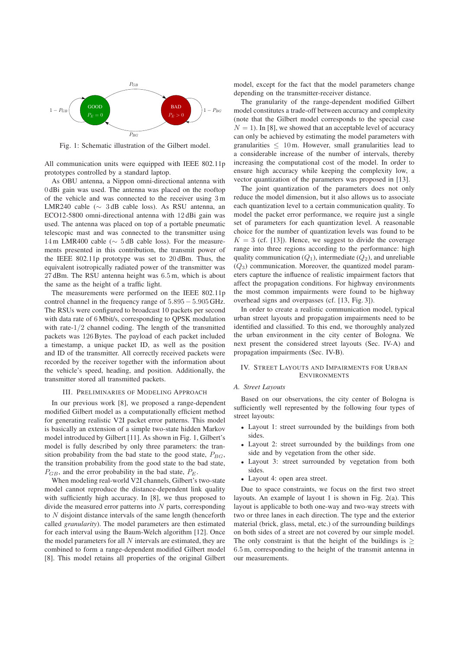

Fig. 1: Schematic illustration of the Gilbert model.

All communication units were equipped with IEEE 802.11p prototypes controlled by a standard laptop.

As OBU antenna, a Nippon omni-directional antenna with 0 dBi gain was used. The antenna was placed on the rooftop of the vehicle and was connected to the receiver using 3 m LMR240 cable (∼ 3 dB cable loss). As RSU antenna, an ECO12-5800 omni-directional antenna with 12 dBi gain was used. The antenna was placed on top of a portable pneumatic telescopic mast and was connected to the transmitter using 14 m LMR400 cable (∼ 5 dB cable loss). For the measurements presented in this contribution, the transmit power of the IEEE 802.11p prototype was set to 20 dBm. Thus, the equivalent isotropically radiated power of the transmitter was 27 dBm. The RSU antenna height was 6.5 m, which is about the same as the height of a traffic light.

The measurements were performed on the IEEE 802.11p control channel in the frequency range of 5.895− 5.905 GHz. The RSUs were configured to broadcast 10 packets per second with data rate of 6 Mbit/s, corresponding to QPSK modulation with rate-1/2 channel coding. The length of the transmitted packets was 126Bytes. The payload of each packet included a timestamp, a unique packet ID, as well as the position and ID of the transmitter. All correctly received packets were recorded by the receiver together with the information about the vehicle's speed, heading, and position. Additionally, the transmitter stored all transmitted packets.

## III. PRELIMINARIES OF MODELING APPROACH

In our previous work [8], we proposed a range-dependent modified Gilbert model as a computationally efficient method for generating realistic V2I packet error patterns. This model is basically an extension of a simple two-state hidden Markov model introduced by Gilbert [11]. As shown in Fig. 1, Gilbert's model is fully described by only three parameters: the transition probability from the bad state to the good state,  $P_{BG}$ , the transition probability from the good state to the bad state,  $P_{GB}$ , and the error probability in the bad state,  $P_E$ .

When modeling real-world V2I channels, Gilbert's two-state model cannot reproduce the distance-dependent link quality with sufficiently high accuracy. In [8], we thus proposed to divide the measured error patterns into  $N$  parts, corresponding to N disjoint distance intervals of the same length (henceforth called *granularity*). The model parameters are then estimated for each interval using the Baum-Welch algorithm [12]. Once the model parameters for all  $N$  intervals are estimated, they are combined to form a range-dependent modified Gilbert model [8]. This model retains all properties of the original Gilbert model, except for the fact that the model parameters change depending on the transmitter-receiver distance.

The granularity of the range-dependent modified Gilbert model constitutes a trade-off between accuracy and complexity (note that the Gilbert model corresponds to the special case  $N = 1$ ). In [8], we showed that an acceptable level of accuracy can only be achieved by estimating the model parameters with granularities  $\leq 10$  m. However, small granularities lead to a considerable increase of the number of intervals, thereby increasing the computational cost of the model. In order to ensure high accuracy while keeping the complexity low, a vector quantization of the parameters was proposed in [13].

The joint quantization of the parameters does not only reduce the model dimension, but it also allows us to associate each quantization level to a certain communication quality. To model the packet error performance, we require just a single set of parameters for each quantization level. A reasonable choice for the number of quantization levels was found to be  $K = 3$  (cf. [13]). Hence, we suggest to divide the coverage range into three regions according to the performance: high quality communication  $(Q_1)$ , intermediate  $(Q_2)$ , and unreliable  $(Q_3)$  communication. Moreover, the quantized model parameters capture the influence of realistic impairment factors that affect the propagation conditions. For highway environments the most common impairments were found to be highway overhead signs and overpasses (cf. [13, Fig. 3]).

In order to create a realistic communication model, typical urban street layouts and propagation impairments need to be identified and classified. To this end, we thoroughly analyzed the urban environment in the city center of Bologna. We next present the considered street layouts (Sec. IV-A) and propagation impairments (Sec. IV-B).

#### IV. STREET LAYOUTS AND IMPAIRMENTS FOR URBAN **ENVIRONMENTS**

### *A. Street Layouts*

Based on our observations, the city center of Bologna is sufficiently well represented by the following four types of street layouts:

- Layout 1: street surrounded by the buildings from both sides.
- Layout 2: street surrounded by the buildings from one side and by vegetation from the other side.
- Layout 3: street surrounded by vegetation from both sides.
- Layout 4: open area street.

Due to space constraints, we focus on the first two street layouts. An example of layout 1 is shown in Fig. 2(a). This layout is applicable to both one-way and two-way streets with two or three lanes in each direction. The type and the exterior material (brick, glass, metal, etc.) of the surrounding buildings on both sides of a street are not covered by our simple model. The only constraint is that the height of the buildings is  $\geq$ 6.5 m, corresponding to the height of the transmit antenna in our measurements.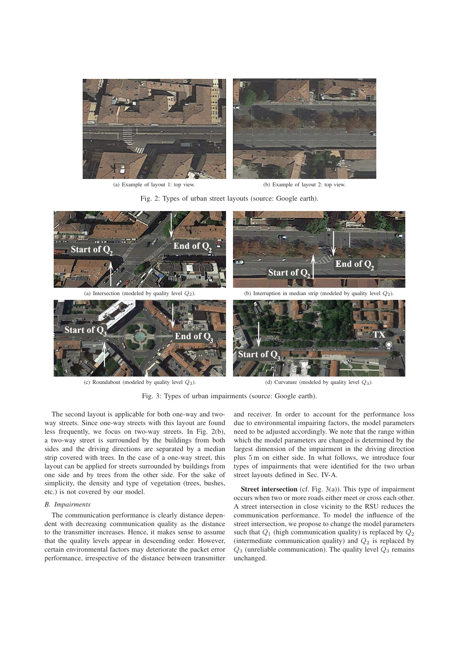

(a) Example of layout 1: top view. (b) Example of layout 2: top view.

Fig. 2: Types of urban street layouts (source: Google earth).



(c) Roundabout (modeled by quality level  $Q_3$ ). (d) Curvature (modeled by quality level  $Q_3$ ).

Fig. 3: Types of urban impairments (source: Google earth).

The second layout is applicable for both one-way and twoway streets. Since one-way streets with this layout are found less frequently, we focus on two-way streets. In Fig. 2(b), a two-way street is surrounded by the buildings from both sides and the driving directions are separated by a median strip covered with trees. In the case of a one-way street, this layout can be applied for streets surrounded by buildings from one side and by trees from the other side. For the sake of simplicity, the density and type of vegetation (trees, bushes, etc.) is not covered by our model.

## *B. Impairments*

The communication performance is clearly distance dependent with decreasing communication quality as the distance to the transmitter increases. Hence, it makes sense to assume that the quality levels appear in descending order. However, certain environmental factors may deteriorate the packet error performance, irrespective of the distance between transmitter and receiver. In order to account for the performance loss due to environmental impairing factors, the model parameters need to be adjusted accordingly. We note that the range within which the model parameters are changed is determined by the largest dimension of the impairment in the driving direction plus 5 m on either side. In what follows, we introduce four types of impairments that were identified for the two urban street layouts defined in Sec. IV-A.

Street intersection (cf. Fig. 3(a)). This type of impairment occurs when two or more roads either meet or cross each other. A street intersection in close vicinity to the RSU reduces the communication performance. To model the influence of the street intersection, we propose to change the model parameters such that  $Q_1$  (high communication quality) is replaced by  $Q_2$ (intermediate communication quality) and  $Q_2$  is replaced by  $Q_3$  (unreliable communication). The quality level  $Q_3$  remains unchanged.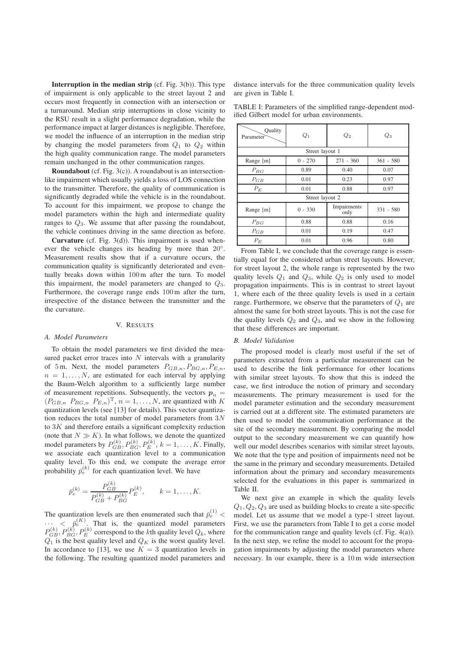**Interruption in the median strip** (cf. Fig.  $3(b)$ ). This type of impairment is only applicable to the street layout 2 and occurs most frequently in connection with an intersection or a turnaround. Median strip interruptions in close vicinity to the RSU result in a slight performance degradation, while the performance impact at larger distances is negligible. Therefore, we model the influence of an interruption in the median strip by changing the model parameters from  $Q_1$  to  $Q_2$  within the high quality communication range. The model parameters remain unchanged in the other communication ranges.

Roundabout (cf. Fig. 3(c)). A roundabout is an intersectionlike impairment which usually yields a loss of LOS connection to the transmitter. Therefore, the quality of communication is significantly degraded while the vehicle is in the roundabout. To account for this impairment, we propose to change the model parameters within the high and intermediate quality ranges to  $Q_3$ . We assume that after passing the roundabout, the vehicle continues driving in the same direction as before.

**Curvature** (cf. Fig.  $3(d)$ ). This impairment is used whenever the vehicle changes its heading by more than 20°. Measurement results show that if a curvature occurs, the communication quality is significantly deteriorated and eventually breaks down within 100m after the turn. To model this impairment, the model parameters are changed to  $Q_3$ . Furthermore, the coverage range ends 100m after the turn, irrespective of the distance between the transmitter and the the curvature.

### V. RESULTS

#### *A. Model Parameters*

To obtain the model parameters we first divided the measured packet error traces into  $N$  intervals with a granularity of 5 m. Next, the model parameters  $P_{GB,n}, P_{BG,n}, P_{E,n}$ ,  $n = 1, \ldots, N$ , are estimated for each interval by applying the Baum-Welch algorithm to a sufficiently large number of measurement repetitions. Subsequently, the vectors  $p_n =$  $(P_{GB,n}$   $P_{BG,n}$   $P_{E,n}$ <sup>T</sup>,  $n = 1, \ldots, N$ , are quantized with K quantization levels (see [13] for details). This vector quantization reduces the total number of model parameters from  $3N$ to  $3K$  and therefore entails a significant complexity reduction (note that  $N \gg K$ ). In what follows, we denote the quantized model parameters by  $P_{GB}^{(k)}, P_{BG}^{(k)}, P_E^{(k)}, k = 1, \ldots, K$ . Finally, we associate each quantization level to a communication quality level. To this end, we compute the average error probability  $\bar{p}_e^{(k)}$  for each quantization level. We have

$$
\bar{p}_e^{(k)} = \frac{P_{GB}^{(k)}}{P_{GB}^{(k)} + P_{BG}^{(k)}} P_E^{(k)}, \qquad k = 1, \dots, K.
$$

The quantization levels are then enumerated such that  $\bar{p}_e^{(1)}$  <  $\cdots$  <  $\bar{p}_e^{(K)}$ . That is, the quantized model parameters  $P_{GB}^{(k)}, P_{BG}^{(k)}, P_{E}^{(k)}$  correspond to the *k*th quality level  $Q_k$ , where  $Q_1$  is the best quality level and  $Q_K$  is the worst quality level. In accordance to [13], we use  $K = 3$  quantization levels in the following. The resulting quantized model parameters and distance intervals for the three communication quality levels are given in Table I.

TABLE I: Parameters of the simplified range-dependent modified Gilbert model for urban environments.

| Quality<br>Parameter | $Q_1$     | $\scriptstyle Q_2$  | $\mathbb{Q}_3$ |  |  |  |  |
|----------------------|-----------|---------------------|----------------|--|--|--|--|
| Street layout 1      |           |                     |                |  |  |  |  |
| Range [m]            | $0 - 270$ | $271 - 360$         | $361 - 580$    |  |  |  |  |
| $P_{BG}$             | 0.89      | 0.40                | 0.07           |  |  |  |  |
| $P_{GB}$             | 0.01      | 0.23                | 0.97           |  |  |  |  |
| $P_E$                | 0.01      | 0.88                | 0.97           |  |  |  |  |
| Street layout 2      |           |                     |                |  |  |  |  |
| Range [m]            | $0 - 330$ | Impairments<br>only | $331 - 580$    |  |  |  |  |
| $P_{BG}$             | 0.88      | 0.88                | 0.16           |  |  |  |  |
| $P_{GB}$             | 0.01      | 0.19                | 0.47           |  |  |  |  |
| $P_E$                | 0.01      | 0.96                | 0.80           |  |  |  |  |

From Table I, we conclude that the coverage range is essentially equal for the considered urban street layouts. However, for street layout 2, the whole range is represented by the two quality levels  $Q_1$  and  $Q_3$ , while  $Q_2$  is only used to model propagation impairments. This is in contrast to street layout 1, where each of the three quality levels is used in a certain range. Furthermore, we observe that the parameters of  $Q_1$  are almost the same for both street layouts. This is not the case for the quality levels  $Q_2$  and  $Q_3$ , and we show in the following that these differences are important.

## *B. Model Validation*

The proposed model is clearly most useful if the set of parameters extracted from a particular measurement can be used to describe the link performance for other locations with similar street layouts. To show that this is indeed the case, we first introduce the notion of primary and secondary measurements. The primary measurement is used for the model parameter estimation and the secondary measurement is carried out at a different site. The estimated parameters are then used to model the communication performance at the site of the secondary measurement. By comparing the model output to the secondary measurement we can quantify how well our model describes scenarios with similar street layouts. We note that the type and position of impairments need not be the same in the primary and secondary measurements. Detailed information about the primary and secondary measurements selected for the evaluations in this paper is summarized in Table II.

We next give an example in which the quality levels  $Q_1, Q_2, Q_3$  are used as building blocks to create a site-specific model. Let us assume that we model a type-1 street layout. First, we use the parameters from Table I to get a corse model for the communication range and quality levels (cf. Fig. 4(a)). In the next step, we refine the model to account for the propagation impairments by adjusting the model parameters where necessary. In our example, there is a 10 m wide intersection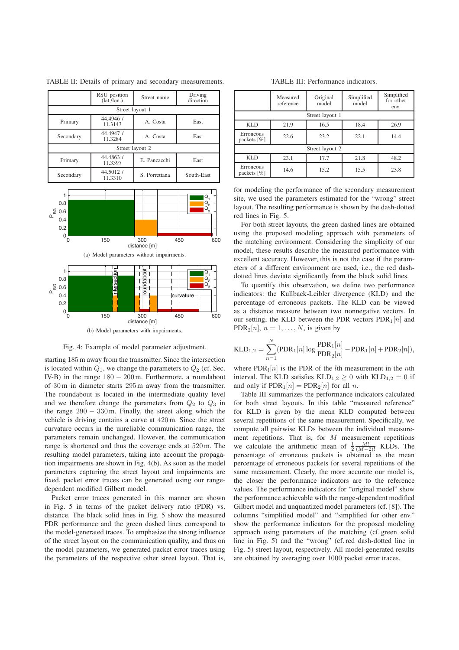|                 | RSU position<br>(lat./lon.)      | Street name   |            |  |  |  |
|-----------------|----------------------------------|---------------|------------|--|--|--|
| Street layout 1 |                                  |               |            |  |  |  |
| Primary         | 44.4946 /<br>11.3143             | A. Costa      | East       |  |  |  |
| Secondary       | 44.4947 /<br>A. Costa<br>11.3284 |               | East       |  |  |  |
| Street layout 2 |                                  |               |            |  |  |  |
| Primary         | 44.4863 /<br>11.3397             | E. Panzacchi  | East       |  |  |  |
| Secondary       | 44.5012 /<br>11.3310             | S. Porrettana | South-East |  |  |  |

TABLE II: Details of primary and secondary measurements.



Fig. 4: Example of model parameter adjustment.

starting 185 m away from the transmitter. Since the intersection is located within  $Q_1$ , we change the parameters to  $Q_2$  (cf. Sec. IV-B) in the range  $180 - 200$  m. Furthermore, a roundabout of 30 m in diameter starts 295m away from the transmitter. The roundabout is located in the intermediate quality level and we therefore change the parameters from  $Q_2$  to  $Q_3$  in the range  $290 - 330$  m. Finally, the street along which the vehicle is driving contains a curve at 420 m. Since the street curvature occurs in the unreliable communication range, the parameters remain unchanged. However, the communication range is shortened and thus the coverage ends at 520m. The resulting model parameters, taking into account the propagation impairments are shown in Fig. 4(b). As soon as the model parameters capturing the street layout and impairments are fixed, packet error traces can be generated using our rangedependent modified Gilbert model.

Packet error traces generated in this manner are shown in Fig. 5 in terms of the packet delivery ratio (PDR) vs. distance. The black solid lines in Fig. 5 show the measured PDR performance and the green dashed lines correspond to the model-generated traces. To emphasize the strong influence of the street layout on the communication quality, and thus on the model parameters, we generated packet error traces using the parameters of the respective other street layout. That is,

#### TABLE III: Performance indicators.

|                             | Measured<br>reference | Original<br>model | Simplified<br>model | Simplified<br>for other<br>env. |  |  |  |
|-----------------------------|-----------------------|-------------------|---------------------|---------------------------------|--|--|--|
| Street layout 1             |                       |                   |                     |                                 |  |  |  |
| <b>KLD</b>                  | 21.9                  | 16.5              | 18.4                | 26.9                            |  |  |  |
| Erroneous<br>packets $[\%]$ | 22.6                  | 23.2              | 22.1                | 14.4                            |  |  |  |
| Street layout 2             |                       |                   |                     |                                 |  |  |  |
| <b>KLD</b>                  | 23.1                  | 17.7              | 21.8                | 48.2                            |  |  |  |
| Erroneous<br>packets $[\%]$ | 14.6                  | 15.2              | 15.5                | 23.8                            |  |  |  |

for modeling the performance of the secondary measurement site, we used the parameters estimated for the "wrong" street layout. The resulting performance is shown by the dash-dotted red lines in Fig. 5.

For both street layouts, the green dashed lines are obtained using the proposed modeling approach with parameters of the matching environment. Considering the simplicity of our model, these results describe the measured performance with excellent accuracy. However, this is not the case if the parameters of a different environment are used, i.e., the red dashdotted lines deviate significantly from the black solid lines.

To quantify this observation, we define two performance indicators: the Kullback-Leibler divergence (KLD) and the percentage of erroneous packets. The KLD can be viewed as a distance measure between two nonnegative vectors. In our setting, the KLD between the PDR vectors  $PDR<sub>1</sub>[n]$  and PDR<sub>2</sub>[n],  $n = 1, \ldots, N$ , is given by

$$
KLD_{1,2} = \sum_{n=1}^{N} (PDR_1[n] \log \frac{PDR_1[n]}{PDR_2[n]} - PDR_1[n] + PDR_2[n]),
$$

where  $PDR<sub>1</sub>[n]$  is the PDR of the *l*th measurement in the *n*th interval. The KLD satisfies  $KLD_{1,2} > 0$  with  $KLD_{1,2} = 0$  if and only if  $PDR_1[n] = PDR_2[n]$  for all n.

Table III summarizes the performance indicators calculated for both street layouts. In this table "measured reference" for KLD is given by the mean KLD computed between several repetitions of the same measurement. Specifically, we compute all pairwise KLDs between the individual measurement repetitions. That is, for  $M$  measurement repetitions we calculate the arithmetic mean of  $\frac{1}{2} \frac{M!}{(M-2)!}$  KLDs. The percentage of erroneous packets is obtained as the mean percentage of erroneous packets for several repetitions of the same measurement. Clearly, the more accurate our model is, the closer the performance indicators are to the reference values. The performance indicators for "original model" show the performance achievable with the range-dependent modified Gilbert model and unquantized model parameters (cf. [8]). The columns "simplified model" and "simplified for other env." show the performance indicators for the proposed modeling approach using parameters of the matching (cf. green solid line in Fig. 5) and the "wrong" (cf. red dash-dotted line in Fig. 5) street layout, respectively. All model-generated results are obtained by averaging over 1000 packet error traces.